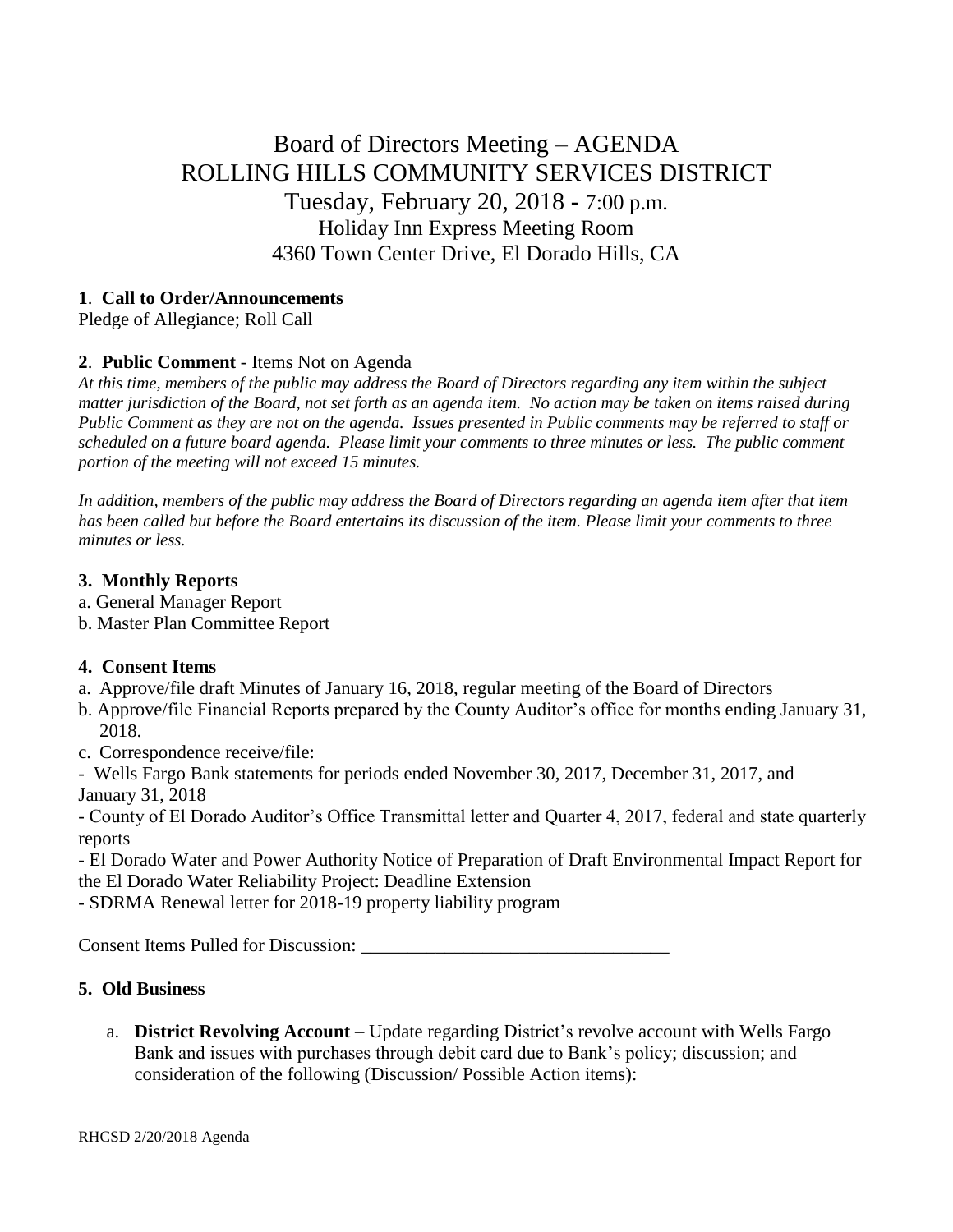# Board of Directors Meeting – AGENDA ROLLING HILLS COMMUNITY SERVICES DISTRICT Tuesday, February 20, 2018 - 7:00 p.m. Holiday Inn Express Meeting Room 4360 Town Center Drive, El Dorado Hills, CA

#### **1**. **Call to Order/Announcements**

Pledge of Allegiance; Roll Call

## **2**. **Public Comment** - Items Not on Agenda

*At this time, members of the public may address the Board of Directors regarding any item within the subject matter jurisdiction of the Board, not set forth as an agenda item. No action may be taken on items raised during Public Comment as they are not on the agenda. Issues presented in Public comments may be referred to staff or scheduled on a future board agenda. Please limit your comments to three minutes or less. The public comment portion of the meeting will not exceed 15 minutes.*

*In addition, members of the public may address the Board of Directors regarding an agenda item after that item has been called but before the Board entertains its discussion of the item. Please limit your comments to three minutes or less.*

#### **3. Monthly Reports**

- a. General Manager Report
- b. Master Plan Committee Report

## **4. Consent Items**

- a. Approve/file draft Minutes of January 16, 2018, regular meeting of the Board of Directors
- b. Approve/file Financial Reports prepared by the County Auditor's office for months ending January 31, 2018.
- c. Correspondence receive/file:
- Wells Fargo Bank statements for periods ended November 30, 2017, December 31, 2017, and January 31, 2018

- County of El Dorado Auditor's Office Transmittal letter and Quarter 4, 2017, federal and state quarterly reports

- El Dorado Water and Power Authority Notice of Preparation of Draft Environmental Impact Report for the El Dorado Water Reliability Project: Deadline Extension

- SDRMA Renewal letter for 2018-19 property liability program

Consent Items Pulled for Discussion: \_\_\_\_\_\_\_\_\_\_\_\_\_\_\_\_\_\_\_\_\_\_\_\_\_\_\_\_\_\_\_\_\_

## **5. Old Business**

a. **District Revolving Account** – Update regarding District's revolve account with Wells Fargo Bank and issues with purchases through debit card due to Bank's policy; discussion; and consideration of the following (Discussion/ Possible Action items):